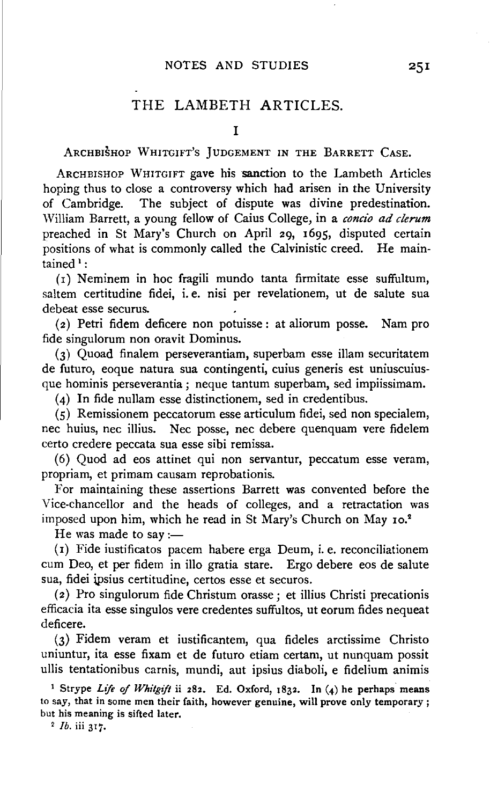## THE LAMBETH ARTICLES.

ARCHBISHOP WHITGIFT's JUDGEMENT IN THE BARRETT CASE.

ARCHBISHOP WHITGIFT gave his sanction to the Lambeth Articles hoping thus to close a controversy which had arisen in the University of Cambridge. The subject of dispute was divine predestination. William Barrett, a young fellow of Caius College, in a *concio ad clerum*  preached in St Mary's Church on April 29, 1695, disputed certain positions of what is commonly called the Calvinistic creed. He maintained  $1$ :

 $(i)$  Neminem in hoc fragili mundo tanta firmitate esse suffultum, saltem certitudine fidei, i. e. nisi per revelationem, ut de salute sua debeat esse securus.

(2) Petri fidem deficere non potuisse: at aliorum posse. Nam pro fide singulorum non oravit Dominus.

(3) Quoad finalem perseverantiam, superbam esse illam securitatem de futuro, eoque natura sua contingenti, cuius generis est uniuscuiusque hominis perseverantia; neque tantum superbam, sed impiissimam.

(4) In fide nullam esse distinctionem, sed in credentibus.

(5) Remissionem peccatorum esse articulum fidei, sed non specialem, nee huius, nee illius. Nee posse, nee debere quenquam vere fidelem certo credere peccata sua esse sibi remissa.

( 6) Quod ad eos attinet qui non servantur, peccatum esse veram, propriam, et primam causam reprobationis.

For maintaining these assertions Barrett was convented before the Vice-chancellor and the heads of colleges, and a retractation was imposed upon him, which he read in St Mary's Church on May 10.<sup>2</sup>

He was made to say :-

(r) Fide iustificatos pacem habere erga Deum, i.e. reconciliationem cum Deo, et per fidem in illo gratia stare. Ergo debere eos de salute sua, fidei ipsius certitudine, certos esse et securos.

(2) Pro singulorum fide Christum orasse ; et illius Christi precationis efficacia ita esse singulos vere credentes suffultos, ut eorum fides nequeat deficere.

(3) Fidem veram et iustificantem, qua fideles arctissime Christo uniuntur, ita esse fixam et de futuro etiam certam, ut nunquam possit ullis tentationibus carnis, mundi, aut ipsius diaboli, e fidelium animis

1 Strype *Life of Whitgijt* ii 282. Ed. Oxford, 1832. In (4) he perhaps means to say, that in some men their faith, however genuine, will prove only temporary; but his meaning is sifted later. 2 *lb.* iii 317.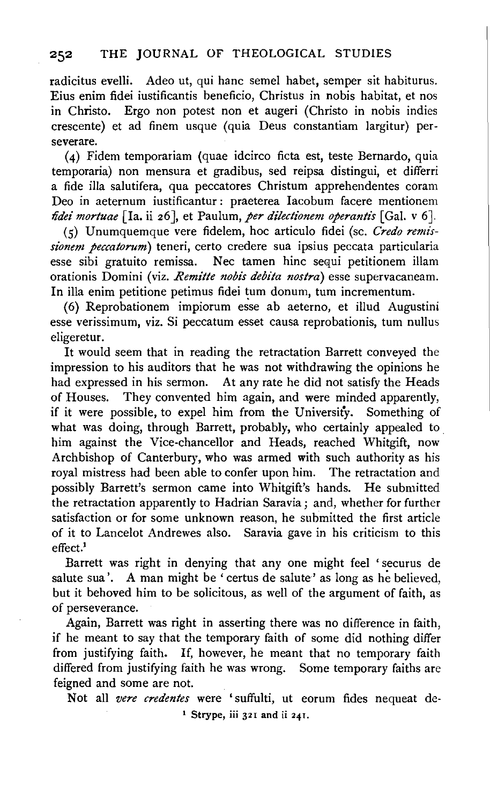radicitus evelli. Adeo ut, qui banc semel habet, semper sit habiturus. Eius enim fidei iustificantis beneficio, Christus in nobis habitat, et nos in Christo. Ergo non potest non et augeri (Christo in nobis indies crescente) et ad finem usque (quia Deus constantiam largitur) perseverare.

(4) Fidem temporariam (quae idcirco ficta est, teste Bernardo, quia temporaria) non mensura et gradibus, sed reipsa distingui, et differri a fide ilia salutifera, qua peccatores Christum apprehendentes coram Deo in aeternum iustificantur: praeterea Iacobum facere mentionem *fidei mortuae* [Ia. ii 26], et Paulum, *per dilectionem operantis* [Gal. v 6].

(5) Unumquemque vere fidelem, hoc articulo fidei (se. *Credo remissionem peccatorum)* teneri, certo credere sua ipsius peccata particularia esse sibi gratuito remissa. Nee tamen hinc sequi petitionem illam orationis Domini (viz. *Remitte nobis debita nostra)* esse supervacaneam. In illa enim petitione petimus fidei tum donum, tum incrementum.

(6) Reprobationem impiorum esse ab aeterno, et illud Augustini esse verissimum, viz. Si peccatum esset causa reprobationis, tum nullus eligeretur.

It would seem that in reading the retractation Barrett conveyed the impression to his auditors that he was not withdrawing the opinions he had expressed in his sermon. At any rate he did not satisfy the Heads of Houses. They convented him again, and were minded apparently, if it were possible, to expel him from the University. Something of what was doing, through Barrett, probably, who certainly appealed to him against the Vice-chancellor and Heads, reached Whitgift, now Archbishop of Canterbury, who was armed with such authority as his royal mistress had been able to confer upon him. The retractation and possibly Barrett's sermon came into Whitgift's hands. He submitted the retractation apparently to Hadrian Saravia; and, whether for further satisfaction or for some unknown reason, he submitted the first article of it to Lancelot Andrewes also. Saravia gave in his criticism to this effect.'

Barrett was right in denying that any one might feel ' securus de salute sua'. A man might be ' certus de salute' as long as he believed, but it behoved him to be solicitous, as well of the argument of faith, as of perseverance.

Again, Barrett was right in asserting there was no difference in faith, if he meant to say that the temporary faith of some did nothing differ from justifying faith. If, however, he meant that no temporary faith differed from justifying faith he was wrong. Some temporary faiths are feigned and some are not.

Not all *vere credentes* were 'suffulti, ut eorum fides nequeat de- <sup>1</sup> Strype, iii 321 and ii 241.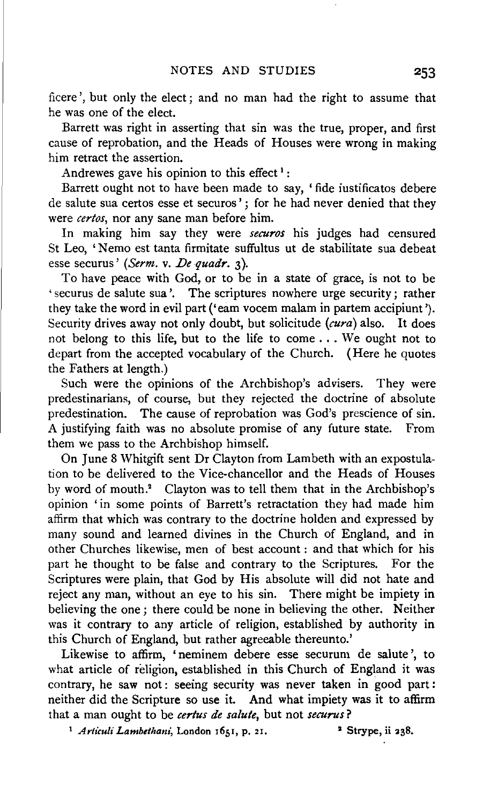ficere ', but only the elect ; and no man had the right to assume that he was one of the elect.

Barrett was right in asserting that sin was the true, proper, and first cause of reprobation, and the Heads of Houses were wrong in making him retract the assertion.

Andrewes gave his opinion to this effect<sup>1</sup>:

Barrett ought not to have been made to say, 'fide iustificatos debere de salute sua certos esse et securos'; for he had never denied that they were *certos,* nor any sane man before him.

In making him say they were *securos* his judges had censured St Leo, 'Nemo est tanta firmitate suffultus ut de stabilitate sua debeat esse securus' *(Serm. v. De quadr.* 3).

To have peace with God, or to be in a state of grace, is not to be 'securus de salute sua'. The scriptures nowhere urge security; rather they take the word in evil part ('earn vocem malam in partem accipiunt'). Security drives away not only doubt, but solicitude *(cura)* also. It does not belong to this life, but to the life to come ... We ought not to depart from the accepted vocabulary of the Church. (Here he quotes the Fathers at length.)

Such were the opinions of the Archbishop's advisers. They were predestinarians, of course, but they rejected the doctrine of absolute predestination. The cause of reprobation was God's prescience of sin. A justifying faith was no absolute promise of any future state. From them we pass to the Archbishop himself.

On June 8 Whitgift sent Dr Clayton from Lambeth with an expostulation to be delivered to the Vice-chancellor and the Heads of Houses by word of mouth.<sup>2</sup> Clayton was to tell them that in the Archbishop's opinion 'in some points of Barrett's retractation they had made him affirm that which was contrary to the doctrine holden and expressed by many sound and learned divines in the Church of England, and in other Churches likewise, men of best account : and that which for his part he thought to be false and contrary to the Scriptures. For the Scriptures were plain, that God by His absolute will did not hate and reject any man, without an eye to his sin. There might be impiety in believing the one; there could be none in believing the other. Neither was it contrary to any article of religion, established by authority in this Church of England, but rather agreeable thereunto.'

Likewise to affirm, 'neminem debere esse securum de salute', to what article of religion, established in this Church of England it was contrary, he saw not: seeing security was never taken in good part: neither did the Scripture so use it. And what impiety was it to affirm that a man ought to be *certus de salute,* but not *securus?* 

<sup>1</sup> Articuli Lambethani, London 1651, p. 21. <sup>2</sup> Strype, ii 238.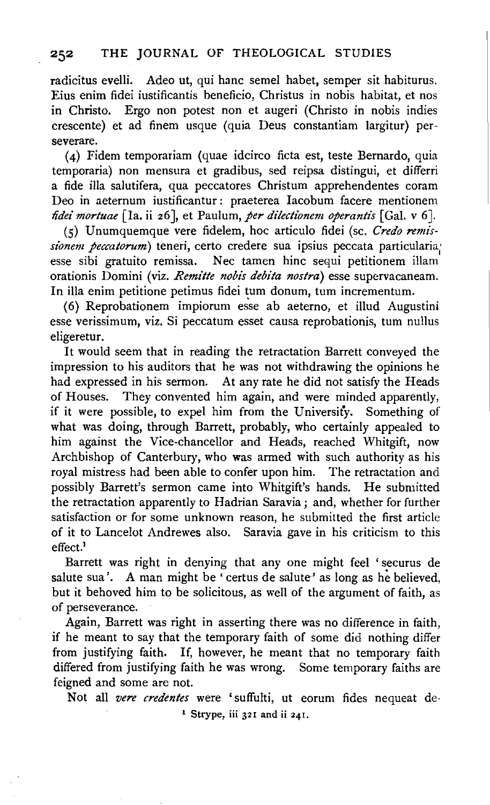radicitus evelli. Adeo ut, qui hanc semel habet, semper sit habiturus. Eius enim fidei iustificantis beneficio, Christus in nobis habitat, et nos in Christo. Ergo non potest non et augeri (Christo in nobis indies crescente) et ad finem usque (quia Deus constantiam largitur) perseverare.

(4) Fidem temporariam (quae idcirco ficta est, teste Bernardo, quia temporaria) non mensura et gradibus, sed reipsa distingui, et differri a fide ilia salutifera, qua peccatores Christum apprehendentes coram Deo in aeternum iustificantur : praeterea Iacobum facere mentionem *fidei mortuae* [Ia. ii 26], et Paulum, *per dilectionem operantis* [Gal. v 6].

(5) Unumquemque vere fidelem, hoc articulo fidei (se. *Credo remissionem peccatorum)* teneri, certo credere sua ipsius peccata particularia; esse sibi gratuito remissa. Nee tamen hinc sequi petitionem illam orationis Domini (viz. *Remitte nobis debita nostra)* esse supervacaneam. In illa enim petitione petimus fidei tum donum, tum incrementum.

(6) Reprobationem impiorum esse ab aeterno, et illud Augustini esse verissimum, viz. Si peccatum esset causa reprobationis, tum nullus eligeretur.

It would seem that in reading the retractation Barrett conveyed the impression to his auditors that he was not withdrawing the opinions he had expressed in his sermon. At any rate he did not satisfy the Heads of Houses. They convented him again, and were minded apparently, if it were possible, to expel him from the University. Something of what was doing, through Barrett, probably, who certainly appealed to him against the Vice-chancellor and Heads, reached Whitgift, now Archbishop of Canterbury, who was armed with such authority as his royal mistress had been able to confer upon him. The retractation and possibly Barrett's sermon came into Whitgift's hands. He submitted the retractation apparently to Hadrian Saravia; and, whether for further satisfaction or for some unknown reason, he submitted the first article of it to Lancelot Andrewes also. Saravia gave in his criticism to this effect.1

Barrett was right in denying that any one might feel ' securus de salute sua'. A man might be 'certus de salute' as long as he believed, but it behoved him to be solicitous, as well of the argument of faith, as of perseverance.

Again, Barrett was right in asserting there was no difference in faith, if he meant to say that the temporary faith of some did nothing differ from justifying faith. If, however, he meant that no temporary faith differed from justifying faith he was wrong. Some temporary faiths are feigned and some are not.

Not all *vere credentes* were 'suffulti, ut eorum fides nequeat de-<sup>1</sup> Strype, iii  $32I$  and ii  $24I$ .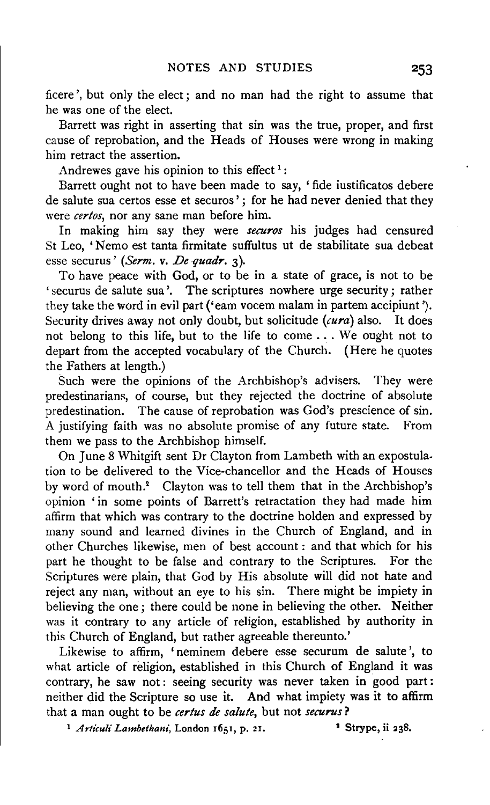ficere ',but only the elect; and no man had the right to assume that he was one of the elect.

Barrett was right in asserting that sin was the true, proper, and first cause of reprobation, and the Heads of Houses were wrong in making him retract the assertion.

Andrewes gave his opinion to this effect  $1$ :

Barrett ought not to have been made to say, 'fide iustificatos debere de salute sua certos esse et securos'; for he had never denied that they were *certos,* nor any sane man before him.

In making him say they were *securos* his judges had censured St Leo, 'Nemo est tanta firmitate suffultus ut de stabilitate sua debeat esse securus' *(Serm.* v. *De quadr.* 3).

To have peace with God, or to be in a state of grace, is not to be 'securus de salute sua'. The scriptures nowhere urge security; rather they take the word in evil part ('eam vocem malam in partem accipiunt'). Security drives away not only doubt, but solicitude *(cura)* also. It does not belong to this life, but to the life to come ... We ought not to depart from the accepted vocabulary of the Church. (Here he quotes the Fathers at length.)

Such were the opinions of the Archbishop's advisers. They were predestinarians, of course, but they rejected the doctrine of absolute predestination. The cause of reprobation was God's prescience of sin. A justifying faith was no absolute promise of any future state. From them we pass to the Archbishop himself.

On June 8 Whitgift sent Dr Clayton from Lambeth with an expostulation to be delivered to the Vice-chancellor and the Heads of Houses by word of mouth.<sup>2</sup> Clayton was to tell them that in the Archbishop's opinion 'in some points of Barrett's retractation they had made him affirm that which was contrary to the doctrine holden and expressed by many sound and learned divines in the Church of England, and in other Churches likewise, men of best account : and that which for his part he thought to be false and contrary to the Scriptures. For the Scriptures were plain, that God by His absolute will did not hate and reject any man, without an eye to his sin. There might be impiety in believing the one; there could be none in believing the other. Neither was it contrary to any article of religion, established by authority in this Church of England, but rather agreeable thereunto.'

Likewise to affirm, 'neminem debere esse securum de salute', to what article of religion, established in this Church of England it was contrary, he saw not: seeing security was never taken in good part: neither did the Scripture so use it. And what impiety was it to affirm that a man ought to be *certus de salute,* but not *securus?* 

<sup>1</sup> Articuli Lambethani, London 1651, p. 21. <sup>3</sup> Strype, ii 238.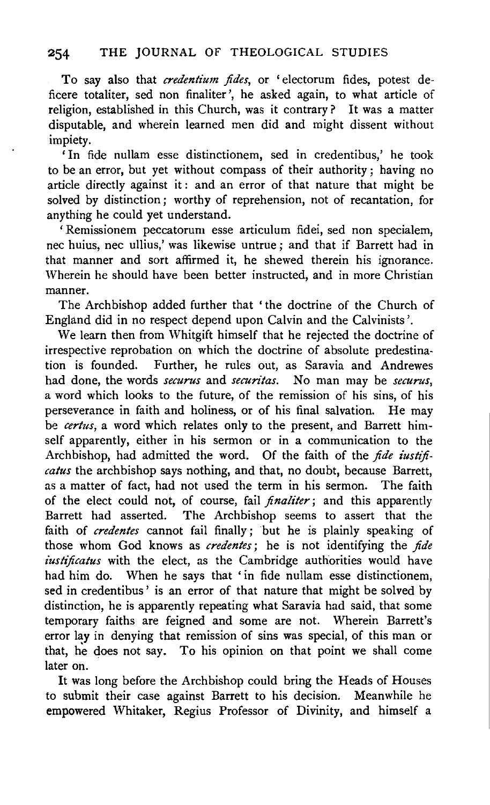To say also that *credentium fides*, or 'electorum fides, potest deficere totaliter, sed non finaliter ', he asked again, to what article of religion, established in this Church, was it contrary? It was a matter disputable, and wherein learned men did and might dissent without impiety.

' In fide nullam esse distinctionem, sed in credentibus,' he took to be an error, but yet without compass of their authority; having no article directly against it : and an error of that nature that might be solved by distinction; worthy of reprehension, not of recantation, for anything he could yet understand.

'Remissionem peccatorum esse articulum fidei, sed non specialem, nee huius, nee ullius,' was likewise untrue ; and that if Barrett had in that manner and sort affirmed it, he shewed therein his ignorance. Wherein he should have been better instructed, and in more Christian manner.

The Archbishop added further that 'the doctrine of the Church of England did in no respect depend upon Calvin and the Calvinists'.

We learn then from Whitgift himself that he rejected the doctrine of irrespective reprobation on which the doctrine of absolute predestination is founded. Further, he rules out, as Saravia and Andrewes had done, the words *securus* and *securitas.* No man may be *securus,*  a word which looks to the future, of the remission of his sins, of his perseverance in faith and holiness, or of his final salvation. He may be *certus*, a word which relates only to the present, and Barrett himself apparently, either in his sermon or in a communication to the Archbishop, had admitted the word. Of the faith of the *fide iustificatus* the archbishop says nothing, and that, no doubt, because Barrett, as a matter of fact, had not used the term in his sermon. The faith of the elect could not, of course, fail *finaliter;* and this apparently Barrett had asserted. The Archbishop seems to assert that the faith of *credentes* cannot fail finally; but he is plainly speaking of those whom God knows as *credentes;* he is not identifying the *fide iustificatus* with the elect, as the Cambridge authorities would have had him do. When he says that 'in fide nullam esse distinctionem, sed in credentibus' is an error of that nature that might be solved by distinction, he is apparently repeating what Saravia had said, that some temporary faiths are feigned and some are not. Wherein Barrett's error lay in denying that remission of sins was special, of this man or that, he does not say. To his opinion on that point we shall come later on.

It was long before the Archbishop could bring the Heads of Houses to submit their case against Barrett to his decision. Meanwhile he empowered Whitaker, Regius Professor of Divinity, and himself a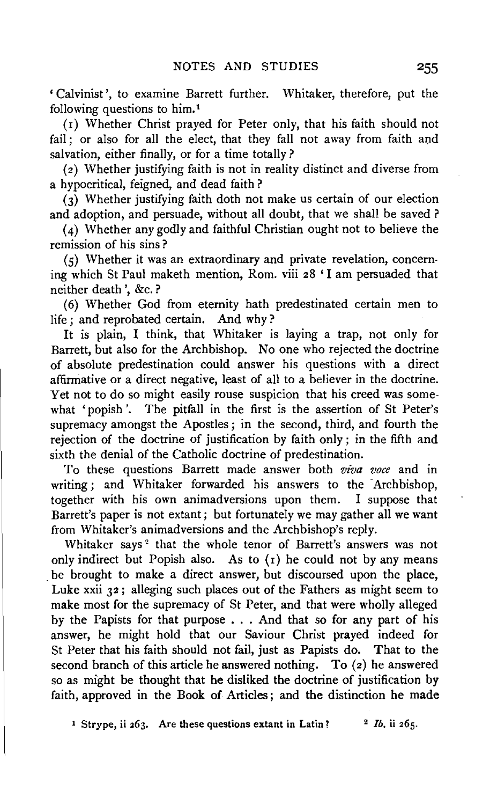' Calvinist', to- examine Barrett further. Whitaker, therefore, put the following questions to him. <sup>1</sup>

( 1) Whether Christ prayed for Peter only, that his faith should not fail; or also for all the elect, that they fall not away from faith and salvation, either finally, or for a time totally?

(z) Whether justifying faith is not in reality distinct and diverse from a hypocritical, feigned, and dead faith ?

(3) Whether justifying faith doth not make us certain of our election and adoption, and persuade, without all doubt, that we shall be saved ?

(4) Whether any godly and faithful Christian ought not to believe the remission of his sins ?

(5) Whether it was an extraordinary and private revelation, concerning which St Paul maketh mention, Rom. viii z8 'I am persuaded that neither death', &c. ?

(6) Whether God from eternity hath predestinated certain men to life ; and reprobated certain. And why ?

It is plain, I think, that Whitaker is laying a trap, not only for Barrett, but also for the Archbishop. No one who rejected the doctrine of absolute predestination could answer his questions with a direct affirmative or a direct negative, least of all to a believer in the doctrine. Yet not to do so might easily rouse suspicion that his creed was somewhat 'popish'. The pitfall in the first is the assertion of St Peter's supremacy amongst the Apostles; in the second, third, and fourth the rejection of the doctrine of justification by faith only; in the fifth and sixth the denial of the Catholic doctrine of predestination.

To these questions Barrett made answer both *viva voce* and in writing; and Whitaker forwarded his answers to the Archbishop, together with his own animadversions upon them. I suppose that Barrett's paper is not extant; but fortunately we may gather all we want from Whitaker's animadversions and the Archbishop's reply.

Whitaker says<sup>2</sup> that the whole tenor of Barrett's answers was not only indirect but Popish also. As to (r) he could not by any means be brought to make a direct answer, but discoursed upon the place, Luke xxii 32 ; alleging such places out of the Fathers as might seem to make most for the supremacy of St Peter, and that were wholly alleged by the Papists for that purpose  $\ldots$  And that so for any part of his answer, he might hold that our Saviour Christ prayed indeed for St Peter that his faith should not fail, just as Papists do. That to the second branch of this article he answered nothing. To (2) he answered so as might be thought that he disliked the doctrine of justification by faith, approved in the Book of Articles; and the distinction he made

<sup>1</sup> Strype, ii  $263$ . Are these questions extant in Latin? <sup>2</sup> *Ib.* ii  $265$ .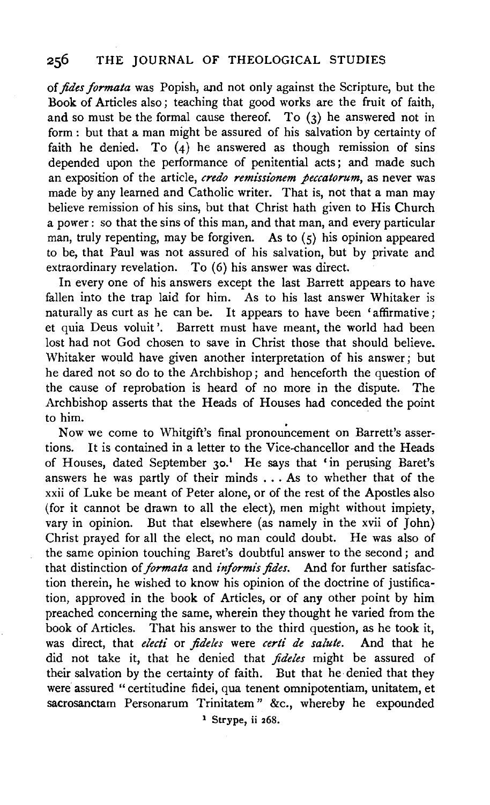of *fides formata* was Popish, and not only against the Scripture, but the Book of Articles also; teaching that good works are the fruit of faith, and so must be the formal cause thereof. To  $(3)$  he answered not in form : but that a man might be assured of his salvation by certainty of faith he denied. To  $(4)$  he answered as though remission of sins depended upon the performance of penitential acts; and made such an exposition of the article, *credo remz'ssionem peccatorum,* as never was made by any learned and Catholic writer. That is, not that a man may believe remission of his sins, but that Christ bath given to His Church a power : so that the sins of this man, and that man, and every particular man, truly repenting, may be forgiven. As to  $(5)$  his opinion appeared to be, that Paul was not assured of his salvation, but by private and extraordinary revelation. To (6) his answer was direct.

In every one of his answers except the last Barrett appears to have fallen into the trap laid for him. As to his last answer Whitaker is naturally as curt as he can be. It appears to have been 'affirmative; et quia Deus voluit '. Barrett must have meant, the world had been lost had not God chosen to save in Christ those that should believe. Whitaker would have given another interpretation of his answer; but he dared not so do to the Archbishop; and henceforth the question of the cause of reprobation is heard of no more in the dispute. The Archbishop asserts that the Heads of Houses had conceded the point to him.

Now we come to Whitgift's final pronouncement on Barrett's assertions. It is contained in a letter to the Vice-chancellor and the Heads of Houses, dated September 30.<sup>1</sup> He says that 'in perusing Baret's answers he was partly of their minds ... As to whether that of the xxii of Luke be meant of Peter alone, or of the rest of the Apostles also (for it cannot be drawn to all the elect), men might without impiety, vary in opinion. But that elsewhere (as namely in the xvii of  $\overline{f}$ ohn) Christ prayed for all the elect, no man could doubt. He was also of the same opinion touching Baret's doubtful answer to the second; and that distinction of *formata* and *informis fides.* And for further satisfaction therein, he wished to know his opinion of the doctrine of justification, approved in the book of Articles, or of any other point by him preached concerning the same, wherein they thought he varied from the book of Articles. That his answer to the third question, as he took it, was direct, that *electi* or *jideles* were *certi de salute.* And that he did not take it, that he denied that *jideles* might be assured of their salvation by the certainty of faith. But that he denied that they were assured "certitudine fidei, qua tenent omnipotentiam, unitatem, et sacrosanctam Personarum Trinitatem" &c., whereby he expounded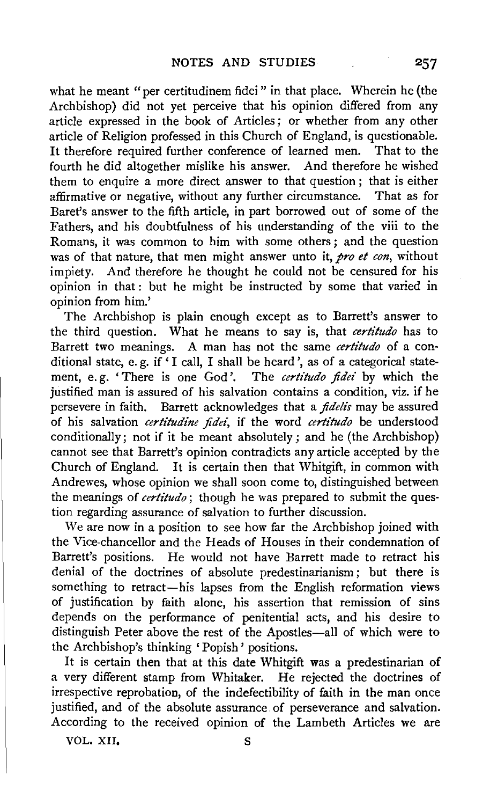what he meant "per certitudinem fidei" in that place. Wherein he (the Archbishop) did not yet perceive that his opinion differed from any article expressed in the book of Articles ; or whether from any other article of Religion professed in this Church of England, is questionable. It therefore required further conference of learned men. That to the fourth he did altogether mislike his answer. And therefore he wished them to enquire a more direct answer to that question; that is either affirmative or negative, without any further circumstance. That as for Baret's answer to the fifth article, in part borrowed out of some of the Fathers, and his doubtfulness of his understanding of the viii to the Romans, it was common to him with some others; and the question was of that nature, that men might answer unto it, *pro et con,* without impiety. And therefore he thought he could not be censured for his opinion in that : but he might be instructed by some that varied in opinion from him.'

The Archbishop is plain enough except as to Barrett's answer to the third question. What he means to say is, that *certitudo* has to Barrett two meanings. A man has not the same *certitudo* of a con· ditional state, e.g. if  $\lq$  I call, I shall be heard', as of a categorical statement, e.g. 'There is one God'. The certitudo fidei by which the justified man is assured of his salvation contains a condition, viz. if he persevere in faith. Barrett acknowledges that a *fide/is* may be assured of his salvation *certitudine fidei,* if the word *certitudo* be understood conditionally; not if it be meant absolutely; and he (the Archbishop) cannot see that Barrett's opinion contradicts any article accepted by the Church of England. It is certain then that Whitgift, in common with Andrewes, whose opinion we shall soon come to, distinguished between the meanings of *certitudo* ; though he was prepared to submit the ques· tion regarding assurance of salvation to further discussion.

We are now in a position to see how far the Archbishop joined with the Vice-chancellor and the Heads of Houses in their condemnation of Barrett's positions. He would not have Barrett made to retract his denial of the doctrines of absolute predestinarianism ; but there is something to retract-his lapses from the English reformation views of justification by faith alone, his assertion that remission of sins depends on the performance of penitential acts, and his desire to distinguish Peter above the rest of the Apostles-all of which were to the Archbishop's thinking 'Popish' positions.

It is certain then that at this date Whitgift was a predestinarian of a very different stamp from Whitaker. He rejected the doctrines of irrespective reprobation, of the indefectibility of faith in the man once justified, and of the absolute assurance of perseverance and salvation. According to the received opinion of the Lambeth Articles we are

VOL. XII. S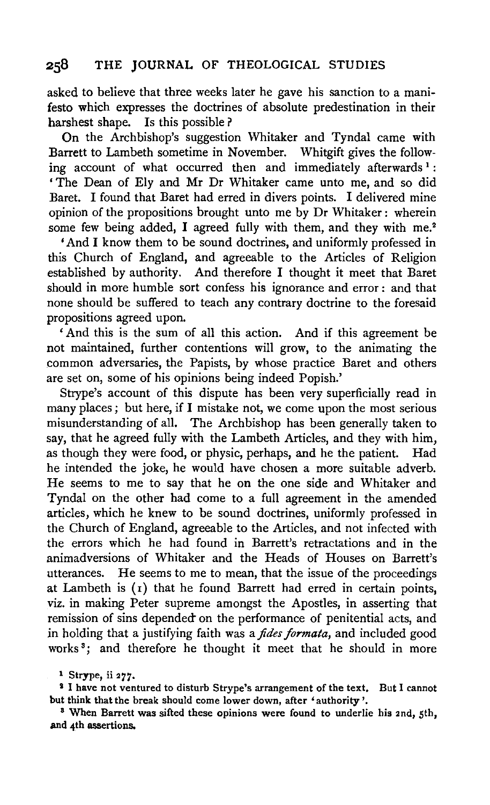asked to believe that three weeks later he gave his sanction to a manifesto which expresses the doctrines of absolute predestination in their harshest shape. Is this possible?

On the Archbishop's suggestion Whitaker and Tyndal came with Barrett to Lambeth sometime in November. Whitgift gives the following account of what occurred then and immediately afterwards<sup>1</sup>: 'The Dean of Ely and Mr Dr Whitaker came unto me, and so did Baret. I found that Baret had erred in divers points. I delivered mine opinion of the propositions brought unto me by Dr Whitaker : wherein some few being added, I agreed fully with them, and they with me.<sup>2</sup>

'And I know them to be sound doctrines, and uniformly professed in this Church of England, and agreeable to the Articles of Religion established by authority. And therefore I thought it meet that Baret should in more humble sort confess his ignorance and error: and that none should be suffered to teach any contrary doctrine to the foresaid propositions agreed upon.

' And this is the sum of all this action. And if this agreement be not maintained, further contentions will grow, to the animating the common adversaries, the Papists, by whose practice Baret and others are set on, some of his opinions being indeed Popish.'

Strype's account of this dispute has been very superficially read in many places ; but here, if I mistake not, we come upon the most serious misunderstanding of all. The Archbishop has been generally taken to say, that he agreed fully with the Lambeth Articles, and they with him, as though they were food, or physic, perhaps, and he the patient. Had he intended the joke, he would have chosen a more suitable adverb. He seems to me to say that he on the one side and Whitaker and Tyndal on the other had come to a full agreement in the amended articles, which he knew to be sound doctrines, uniformly professed in the Church of England, agreeable to the Articles, and not infected with the errors which he had found in Barrett's retractations and in the animadversions of Whitaker and the Heads of Houses on Barrett's utterances. He seems to me to mean, that the issue of the proceedings at Lambeth is  $(1)$  that he found Barrett had erred in certain points, viz. in making Peter supreme amongst the Apostles, in asserting that remission of sins depended on the performance of penitential acts, and in holding that a justifying faith was a *fides formata,* and included good works<sup>3</sup>; and therefore he thought it meet that he should in more

<sup>1</sup> Strype, ii 277.<br><sup>2</sup> I have not ventured to disturb Strype's arrangement of the text. But I cannot but think that the break should come lower down, after 'authority'.<br><sup>8</sup> When Barrett was sifted these opinions were found to underlie his 2nd, 5th,

and 4th assertions.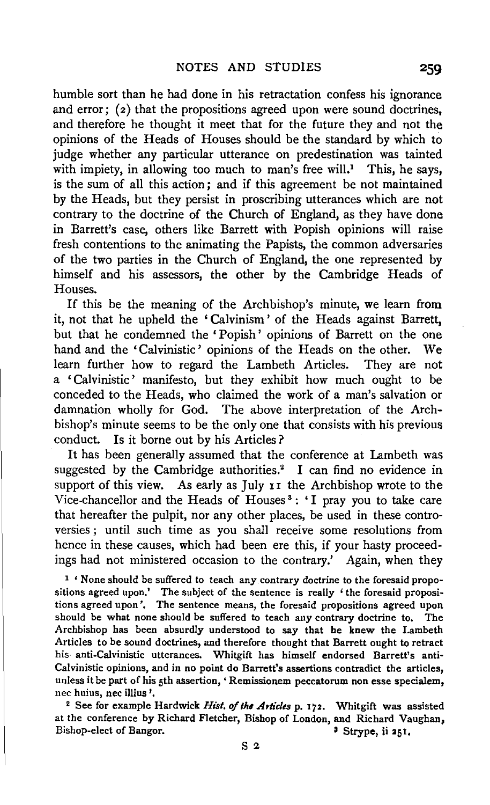humble sort than he had done in his retractation confess his ignorance and error;  $(2)$  that the propositions agreed upon were sound doctrines, and therefore he thought it meet that for the future they and not the opinions of the Heads of Houses should be the standard by which to judge whether any particular utterance on predestination was tainted with impiety, in allowing too much to man's free will.<sup>1</sup> This, he says, is the sum of all this action; and if this agreement be not maintained by the Heads, but they persist in proscribing utterances which are not contrary to the doctrine of the Church of England, as they have done in Barrett's case, others like Barrett with Popish opinions will raise fresh contentions to the animating the Papists, the common adversaries of the two parties in the Church of England, the one represented by himself and his assessors, the other by the Cambridge Heads of Houses.

If this be the meaning of the Archbishop's minute, we learn from it, not that he upheld the 'Calvinism' of the Heads against Barrett, but that he condemned the 'Popish ' opinions of Barrett on the one hand and the 'Calvinistic' opinions of the Heads on the other. We learn further how to regard the Lambeth Articles. They are not a ' Calvinistic' manifesto, but they exhibit how much ought to be conceded to the Heads, who claimed the work of a man's salvation or damnation wholly for God. The above interpretation of the Archbishop's minute seems to be the only one that consists with his previous conduct. Is it borne out by his Articles ?

It has been generally assumed that the conference at Lambeth was suggested by the Cambridge authorities.<sup>2</sup> I can find no evidence in support of this view. As early as July II the Archbishop wrote to the Vice-chancellor and the Heads of Houses 3 : 'I pray you to take care that hereafter the pulpit, nor any other places, be used in these controversies ; until such time as you shall receive some resolutions from hence in these causes, which had been ere this, if your hasty proceedings had not ministered occasion to the contrary.' Again, when they

<sup>1</sup> 'None should be suffered to teach any contrary doctrine to the foresaid propositions agreed upon.' The subject of the sentence is really ' the foresaid propositions agreed upon'. The sentence means, the foresaid propositions agreed upon should be what none should be suffered to teach any contrary doctrine to. The Archbishop has been absurdly understood to say that he knew the Lambeth Articles to be sound doctrines, and therefore thought that Barrett ought to retract his anti-Calvinistic utterances. Whitgift has himself endorsed Barrett's anti-Calvinistic opinions, and in no point do Barrett's assertions contradict the articles, unless it be part of his 5th assertion, • Remissionem peccatorum non esse specialem, nec huius, nee illius ', 2 See for example Hardwick *Hist. of the Articles* p. 172. Whitgift was assisted

at the conference by Richard Fletcher, Bishop of London, and Richard Vaughan, Bishop-elect of Bangor. <br>
Strype, ii 251,